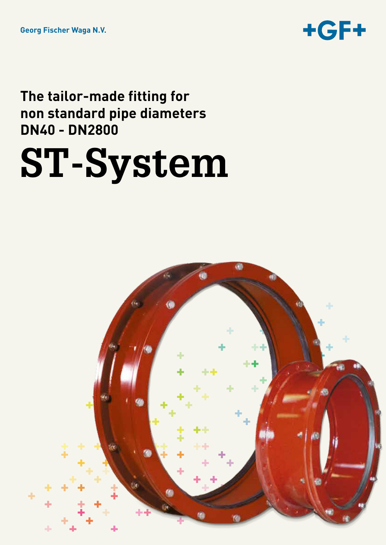

### **The tailor-made fitting for non standard pipe diameters DN40 - DN2800**

# **ST-System**

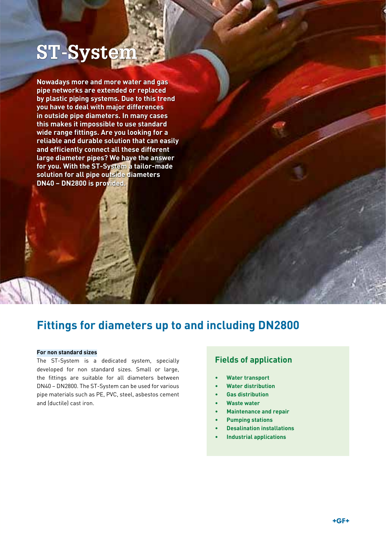# **ST-Systei**

**Nowadays more and more water and gas pipe networks are extended or replaced by plastic piping systems. Due to this trend you have to deal with major differences in outside pipe diameters. In many cases this makes it impossible to use standard wide range fittings. Are you looking for a reliable and durable solution that can easily and efficiently connect all these different large diameter pipes? We have the answer for you. With the ST-System a tailor-made solution for all pipe outside diameters DN40 – DN2800 is provided.**

### **Fittings for diameters up to and including DN2800**

#### **For non standard sizes**

The ST-System is a dedicated system, specially developed for non standard sizes. Small or large, the fittings are suitable for all diameters between DN40 – DN2800. The ST-System can be used for various pipe materials such as PE, PVC, steel, asbestos cement and (ductile) cast iron.

#### **Fields of application**

- **Water transport**
- • **Water distribution**
- **Gas distribution**
- **Waste water**
- **Maintenance and repair**
- **Pumping stations**
- **Desalination installations**
- **Industrial applications**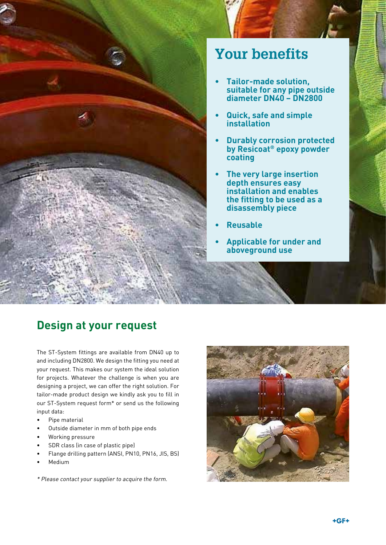

### **Your benefits**

- **• Tailor-made solution, suitable for any pipe outside diameter DN40 – DN2800**
- **• Quick, safe and simple installation**
- **Durably corrosion protected by Resicoat® epoxy powder coating**
- **The very large insertion depth ensures easy installation and enables the fitting to be used as a disassembly piece**
- **• Reusable**
- **Applicable for under and aboveground use**

### **Design at your request**

The ST-System fittings are available from DN40 up to and including DN2800. We design the fitting you need at your request. This makes our system the ideal solution for projects. Whatever the challenge is when you are designing a project, we can offer the right solution. For tailor-made product design we kindly ask you to fill in our ST-System request form\* or send us the following input data:

- • Pipe material
- Outside diameter in mm of both pipe ends
- Working pressure
- SDR class (in case of plastic pipe)
- Flange drilling pattern (ANSI, PN10, PN16, JIS, BS)
- **Medium**

\* Please contact your supplier to acquire the form.

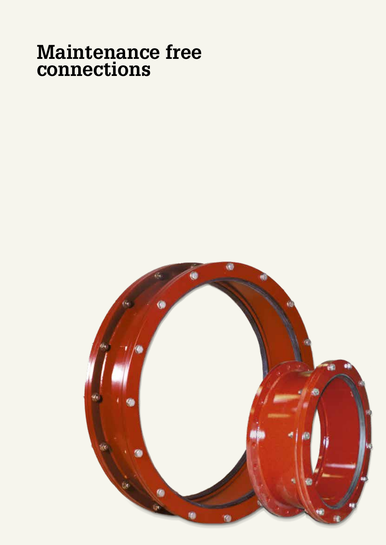# **Maintenance free connections**

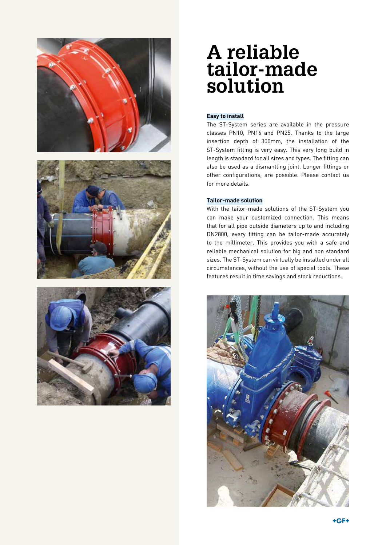

## **A reliable tailor-made solution**

#### **Easy to install**

The ST-System series are available in the pressure classes PN10, PN16 and PN25. Thanks to the large insertion depth of 300mm, the installation of the ST-System fitting is very easy. This very long build in length is standard for all sizes and types. The fitting can also be used as a dismantling joint. Longer fittings or other configurations, are possible. Please contact us for more details.

#### **Tailor-made solution**

With the tailor-made solutions of the ST-System you can make your customized connection. This means that for all pipe outside diameters up to and including DN2800, every fitting can be tailor-made accurately to the millimeter. This provides you with a safe and reliable mechanical solution for big and non standard sizes. The ST-System can virtually be installed under all circumstances, without the use of special tools. These features result in time savings and stock reductions.

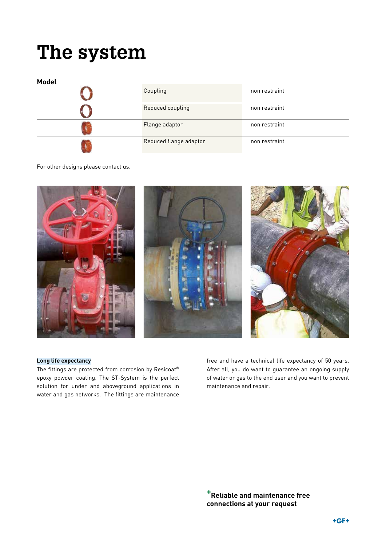# **The system**

| Model |                        |               |
|-------|------------------------|---------------|
|       | Coupling               | non restraint |
|       | Reduced coupling       | non restraint |
|       | Flange adaptor         | non restraint |
|       | Reduced flange adaptor | non restraint |

For other designs please contact us.



#### **Long life expectancy**

The fittings are protected from corrosion by Resicoat® epoxy powder coating. The ST-System is the perfect solution for under and aboveground applications in water and gas networks. The fittings are maintenance

free and have a technical life expectancy of 50 years. After all, you do want to guarantee an ongoing supply of water or gas to the end user and you want to prevent maintenance and repair.

**+Reliable and maintenance free connections at your request**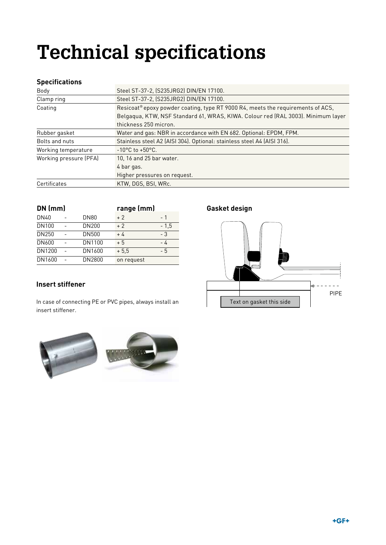# **Technical specifications**

#### **Specifications**

| Body                   | Steel ST-37-2, (S235JRG2) DIN/EN 17100.                                          |  |  |
|------------------------|----------------------------------------------------------------------------------|--|--|
| Clamp ring             | Steel ST-37-2, (S235JRG2) DIN/EN 17100.                                          |  |  |
| Coating                | Resicoat® epoxy powder coating, type RT 9000 R4, meets the requirements of ACS,  |  |  |
|                        | Belgaqua, KTW, NSF Standard 61, WRAS, KIWA. Colour red (RAL 3003). Minimum layer |  |  |
|                        | thickness 250 micron.                                                            |  |  |
| Rubber gasket          | Water and gas: NBR in accordance with EN 682. Optional: EPDM, FPM.               |  |  |
| Bolts and nuts         | Stainless steel A2 (AISI 304). Optional: stainless steel A4 (AISI 316).          |  |  |
| Working temperature    | $-10^{\circ}$ C to $+50^{\circ}$ C.                                              |  |  |
| Working pressure (PFA) | 10, 16 and 25 bar water.                                                         |  |  |
|                        | 4 bar gas.                                                                       |  |  |
|                        | Higher pressures on request.                                                     |  |  |
| Certificates           | KTW, DGS, BSI, WRc.                                                              |  |  |

| $DN$ (mm) |  |              |            | range (mm) |  |
|-----------|--|--------------|------------|------------|--|
| DN40      |  | <b>DN80</b>  | $+2$       | - 1        |  |
| DN100     |  | DN200        | $+2$       | $-1.5$     |  |
| DN250     |  | <b>DN500</b> | $+4$       | - 3        |  |
| DN600     |  | DN1100       | $+5$       | - 4        |  |
| DN1200    |  | DN1600       | $+5.5$     | - 5        |  |
| DN1600    |  | DN2800       | on request |            |  |

#### **Insert stiffener**

In case of connecting PE or PVC pipes, always install an Text on gasket this side insert stiffener.

#### **Gasket design**